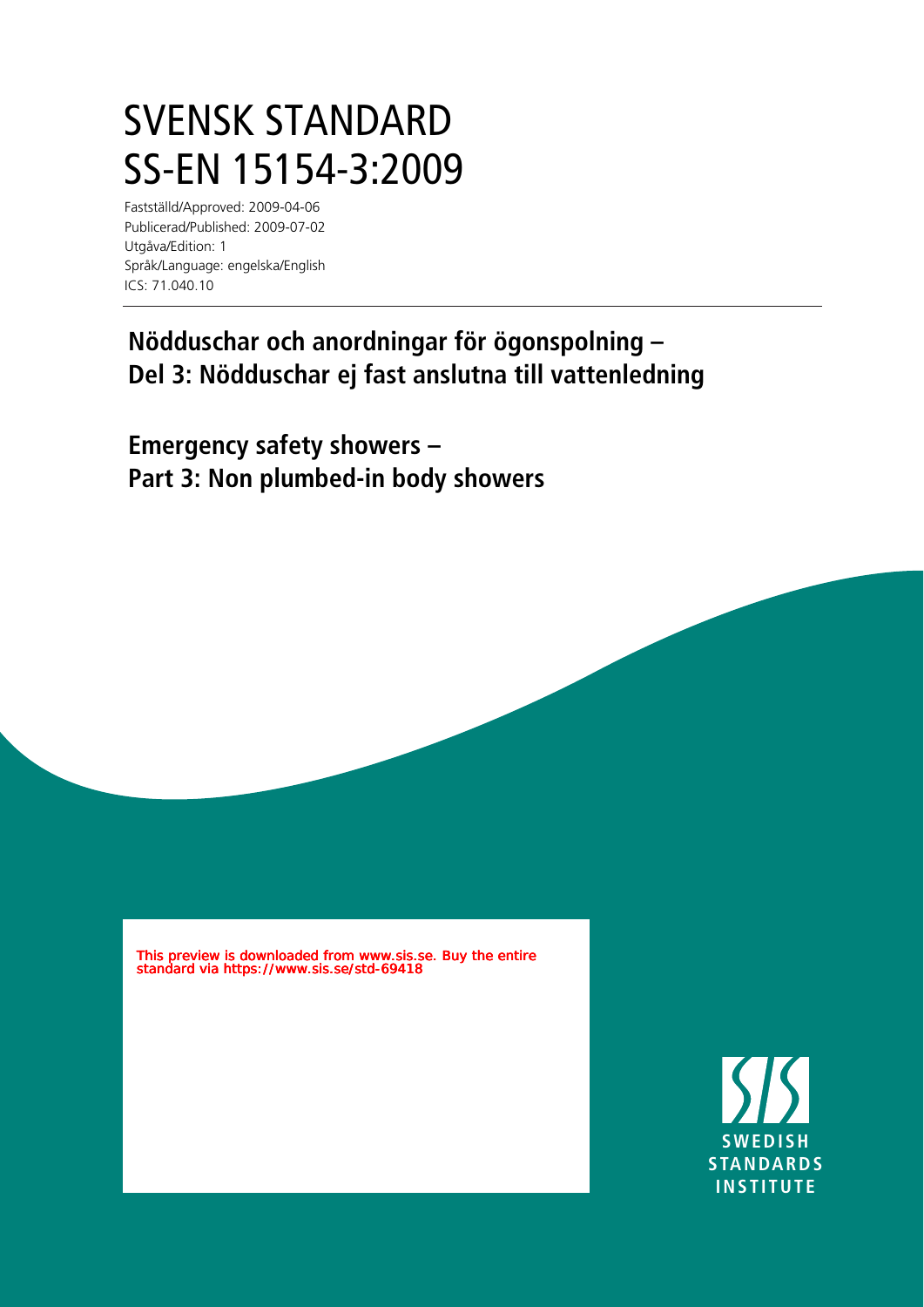# SVENSK STANDARD SS-EN 15154-3:2009

Fastställd/Approved: 2009-04-06 Publicerad/Published: 2009-07-02 Utgåva/Edition: 1 Språk/Language: engelska/English ICS: 71.040.10

# **Nödduschar och anordningar för ögonspolning – Del 3: Nödduschar ej fast anslutna till vattenledning**

**Emergency safety showers – Part 3: Non plumbed-in body showers**

This preview is downloaded from www.sis.se. Buy the entire standard via https://www.sis.se/std-69418

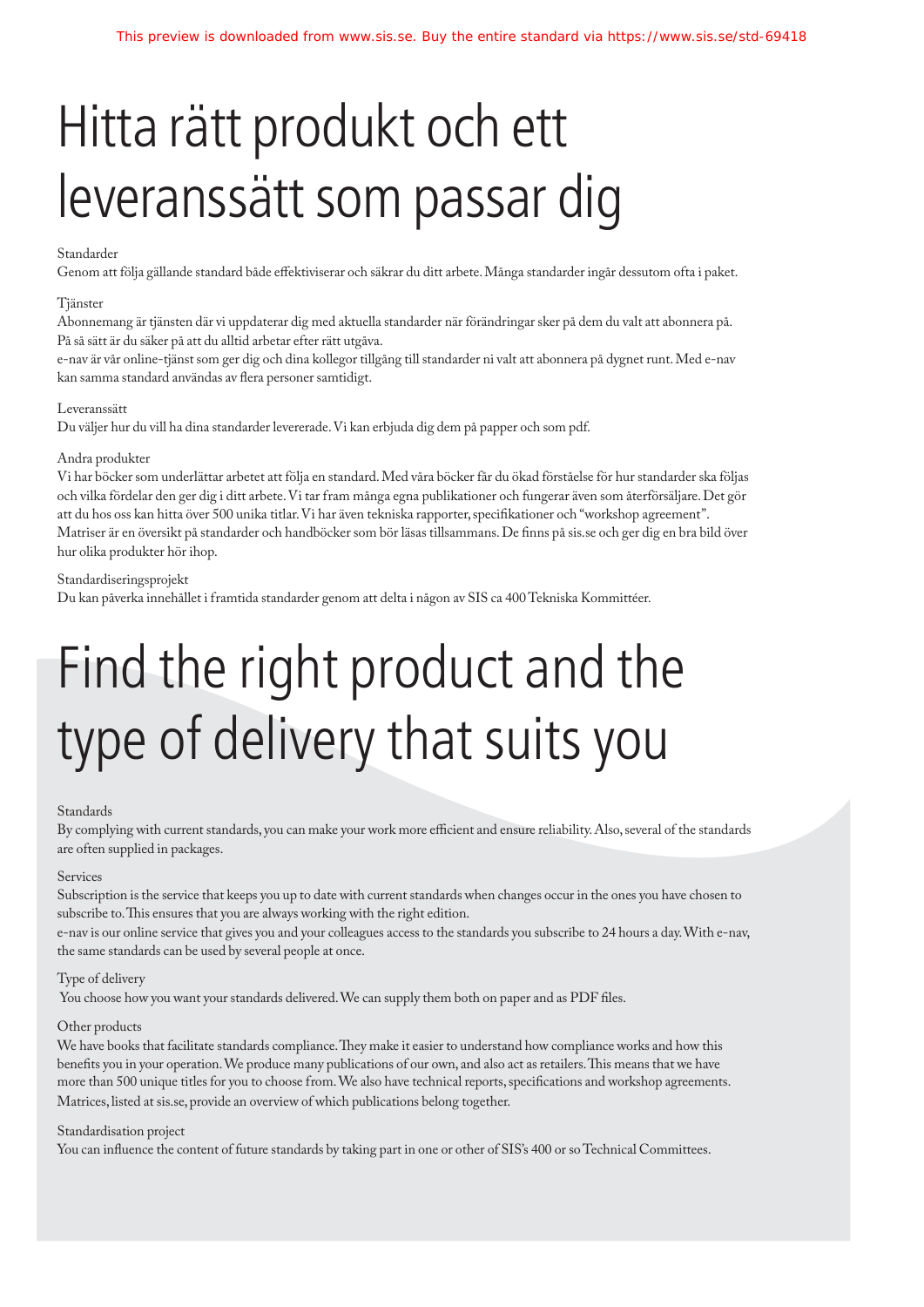# Hitta rätt produkt och ett leveranssätt som passar dig

#### Standarder

Genom att följa gällande standard både effektiviserar och säkrar du ditt arbete. Många standarder ingår dessutom ofta i paket.

#### Tjänster

Abonnemang är tjänsten där vi uppdaterar dig med aktuella standarder när förändringar sker på dem du valt att abonnera på. På så sätt är du säker på att du alltid arbetar efter rätt utgåva.

e-nav är vår online-tjänst som ger dig och dina kollegor tillgång till standarder ni valt att abonnera på dygnet runt. Med e-nav kan samma standard användas av flera personer samtidigt.

#### Leveranssätt

Du väljer hur du vill ha dina standarder levererade. Vi kan erbjuda dig dem på papper och som pdf.

#### Andra produkter

Vi har böcker som underlättar arbetet att följa en standard. Med våra böcker får du ökad förståelse för hur standarder ska följas och vilka fördelar den ger dig i ditt arbete. Vi tar fram många egna publikationer och fungerar även som återförsäljare. Det gör att du hos oss kan hitta över 500 unika titlar. Vi har även tekniska rapporter, specikationer och "workshop agreement". Matriser är en översikt på standarder och handböcker som bör läsas tillsammans. De finns på sis.se och ger dig en bra bild över hur olika produkter hör ihop.

#### Standardiseringsprojekt

Du kan påverka innehållet i framtida standarder genom att delta i någon av SIS ca 400 Tekniska Kommittéer.

# Find the right product and the type of delivery that suits you

#### Standards

By complying with current standards, you can make your work more efficient and ensure reliability. Also, several of the standards are often supplied in packages.

#### Services

Subscription is the service that keeps you up to date with current standards when changes occur in the ones you have chosen to subscribe to. This ensures that you are always working with the right edition.

e-nav is our online service that gives you and your colleagues access to the standards you subscribe to 24 hours a day. With e-nav, the same standards can be used by several people at once.

#### Type of delivery

You choose how you want your standards delivered. We can supply them both on paper and as PDF files.

#### Other products

We have books that facilitate standards compliance. They make it easier to understand how compliance works and how this benefits you in your operation. We produce many publications of our own, and also act as retailers. This means that we have more than 500 unique titles for you to choose from. We also have technical reports, specifications and workshop agreements. Matrices, listed at sis.se, provide an overview of which publications belong together.

#### Standardisation project

You can influence the content of future standards by taking part in one or other of SIS's 400 or so Technical Committees.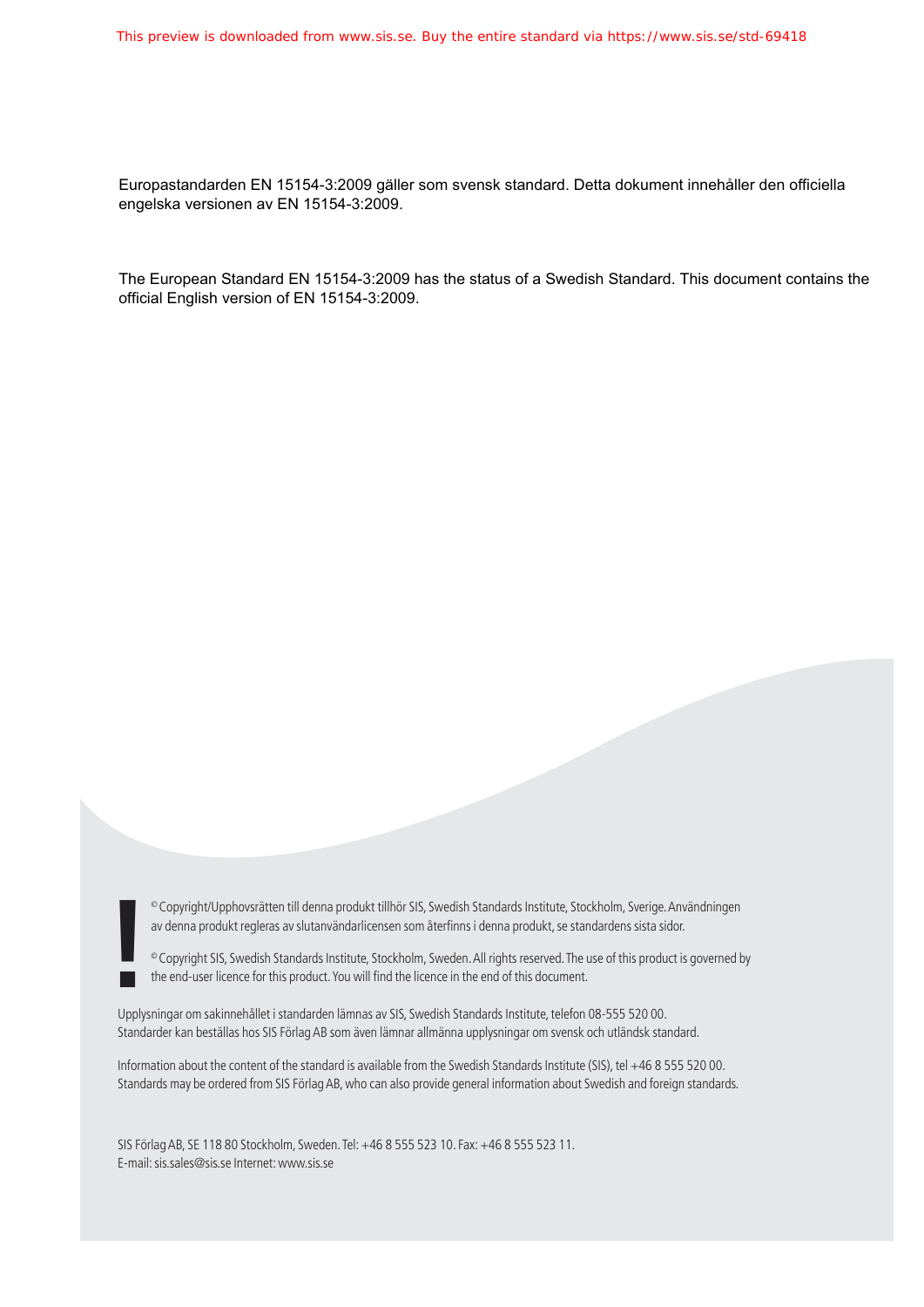Europastandarden EN 15154-3:2009 gäller som svensk standard. Detta dokument innehåller den officiella engelska versionen av EN 15154-3:2009.

The European Standard EN 15154-3:2009 has the status of a Swedish Standard. This document contains the official English version of EN 15154-3:2009.

© Copyright/Upphovsrätten till denna produkt tillhör SIS, Swedish Standards Institute, Stockholm, Sverige. Användningen av denna produkt regleras av slutanvändarlicensen som återfinns i denna produkt, se standardens sista sidor.

© Copyright/Upphovsrätten till denna produkt tillhör SIS, Swedish Standards Institute, Stockholm, Sverige. Användningen<br>av denna produkt regleras av slutanvändarlicensen som återfinns i denna produkt, se standardens sista

Upplysningar om sakinnehållet i standarden lämnas av SIS, Swedish Standards Institute, telefon 08-555 520 00. Standarder kan beställas hos SIS Förlag AB som även lämnar allmänna upplysningar om svensk och utländsk standard.

Information about the content of the standard is available from the Swedish Standards Institute (SIS), tel +46 8 555 520 00. Standards may be ordered from SIS Förlag AB, who can also provide general information about Swedish and foreign standards.

SIS Förlag AB, SE 118 80 Stockholm, Sweden. Tel: +46 8 555 523 10. Fax: +46 8 555 523 11. E-mail: sis.sales@sis.se Internet: www.sis.se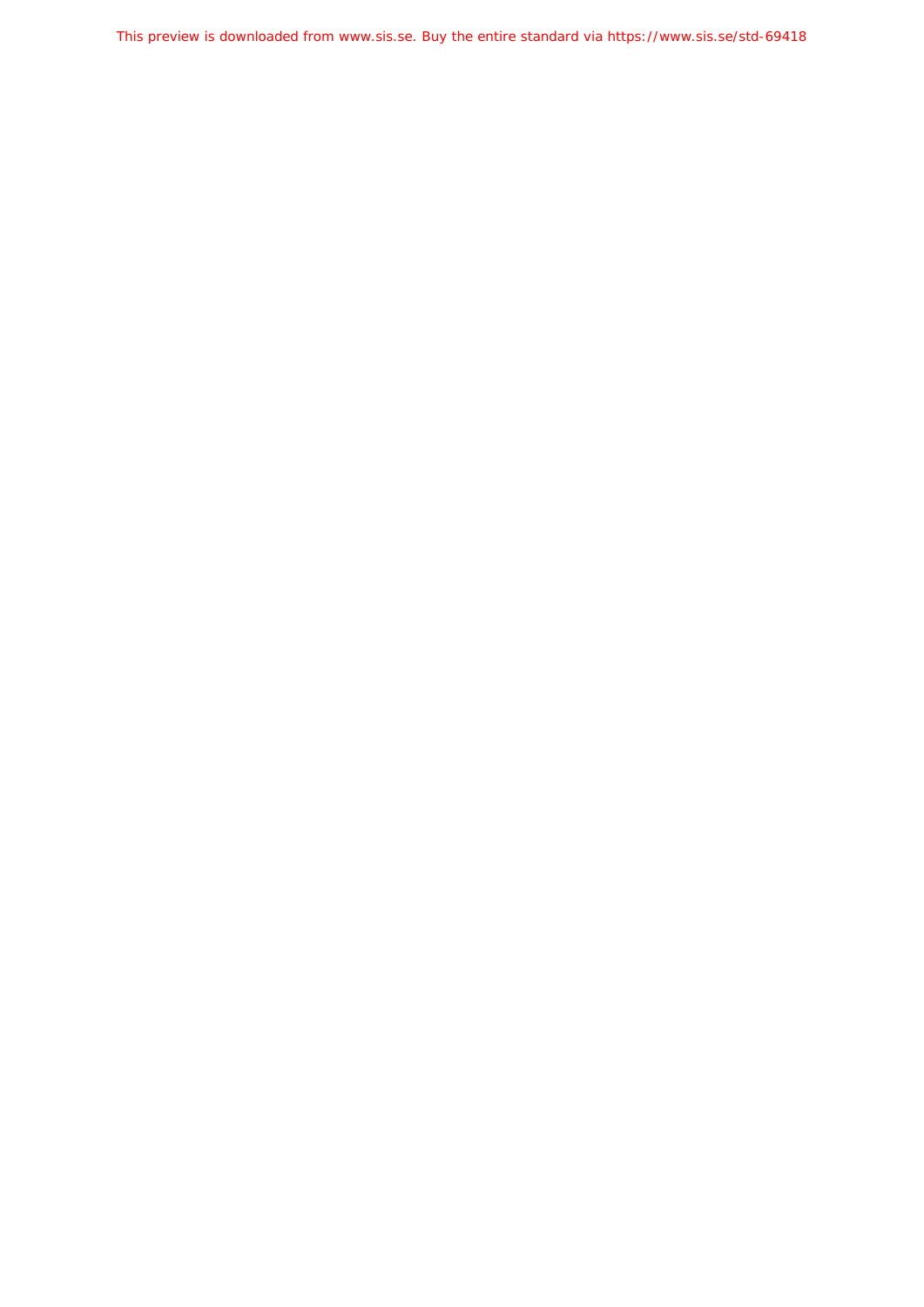This preview is downloaded from www.sis.se. Buy the entire standard via https://www.sis.se/std-69418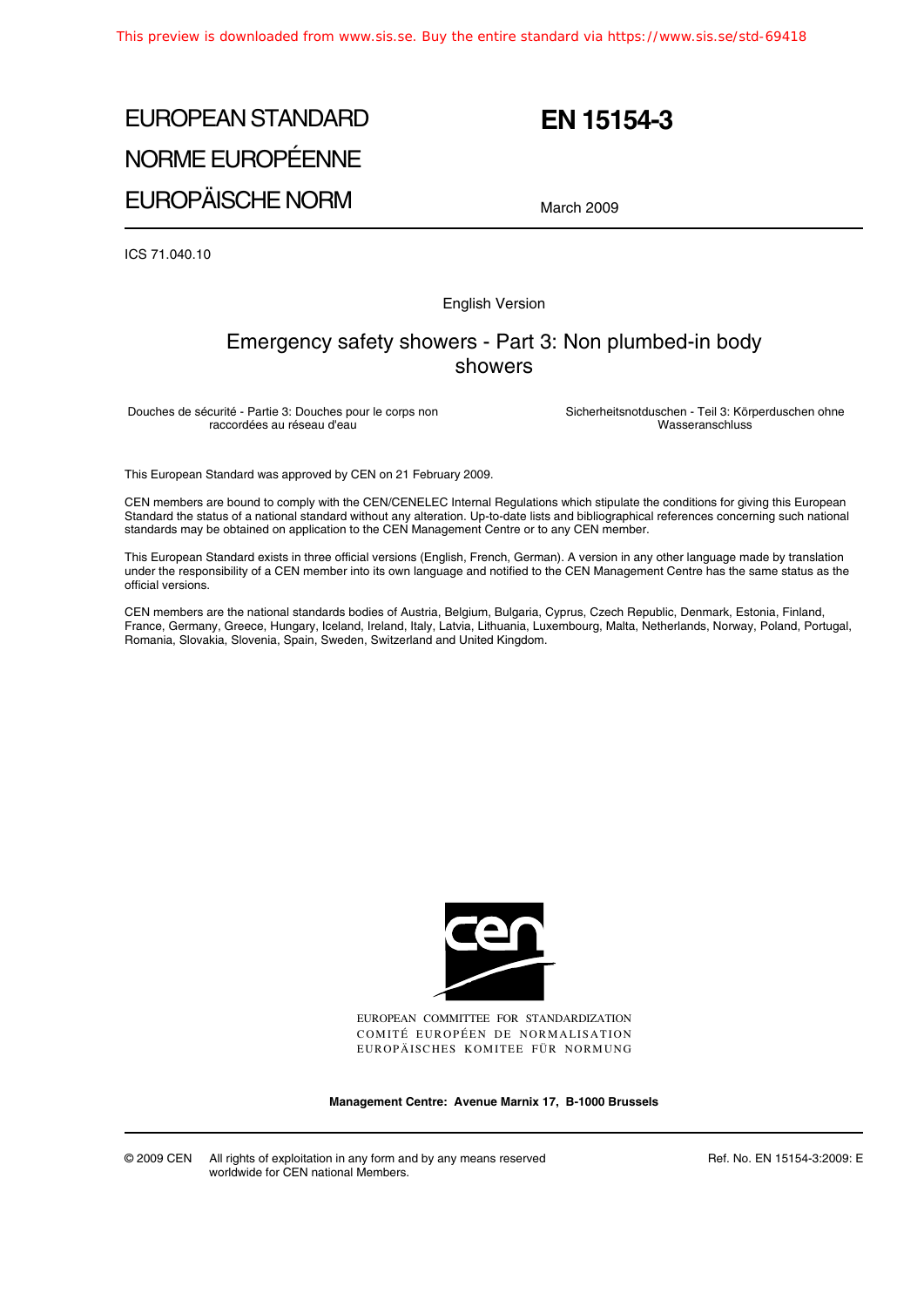# EUROPEAN STANDARD NORME EUROPÉENNE EUROPÄISCHE NORM

## EN 15154-3 **EN 15154-3**

March 2009

ICS 71.040.10

English Version

## Emergency safety showers - Part 3: Non plumbed-in body showers

Douches de sécurité - Partie 3: Douches pour le corps non raccordées au réseau d'eau

Sicherheitsnotduschen - Teil 3: Körperduschen ohne Wasseranschluss

This European Standard was approved by CEN on 21 February 2009.

CEN members are bound to comply with the CEN/CENELEC Internal Regulations which stipulate the conditions for giving this European Standard the status of a national standard without any alteration. Up-to-date lists and bibliographical references concerning such national standards may be obtained on application to the CEN Management Centre or to any CEN member.

This European Standard exists in three official versions (English, French, German). A version in any other language made by translation under the responsibility of a CEN member into its own language and notified to the CEN Management Centre has the same status as the official versions.

CEN members are the national standards bodies of Austria, Belgium, Bulgaria, Cyprus, Czech Republic, Denmark, Estonia, Finland, France, Germany, Greece, Hungary, Iceland, Ireland, Italy, Latvia, Lithuania, Luxembourg, Malta, Netherlands, Norway, Poland, Portugal, Romania, Slovakia, Slovenia, Spain, Sweden, Switzerland and United Kingdom.



EUROPEAN COMMITTEE FOR STANDARDIZATION COMITÉ EUROPÉEN DE NORMALISATION EUROPÄISCHES KOMITEE FÜR NORMUNG

**Management Centre: Avenue Marnix 17, B-1000 Brussels**

© 2009 CEN All rights of exploitation in any form and by any means reserved worldwide for CEN national Members.

Ref. No. EN 15154-3:2009: E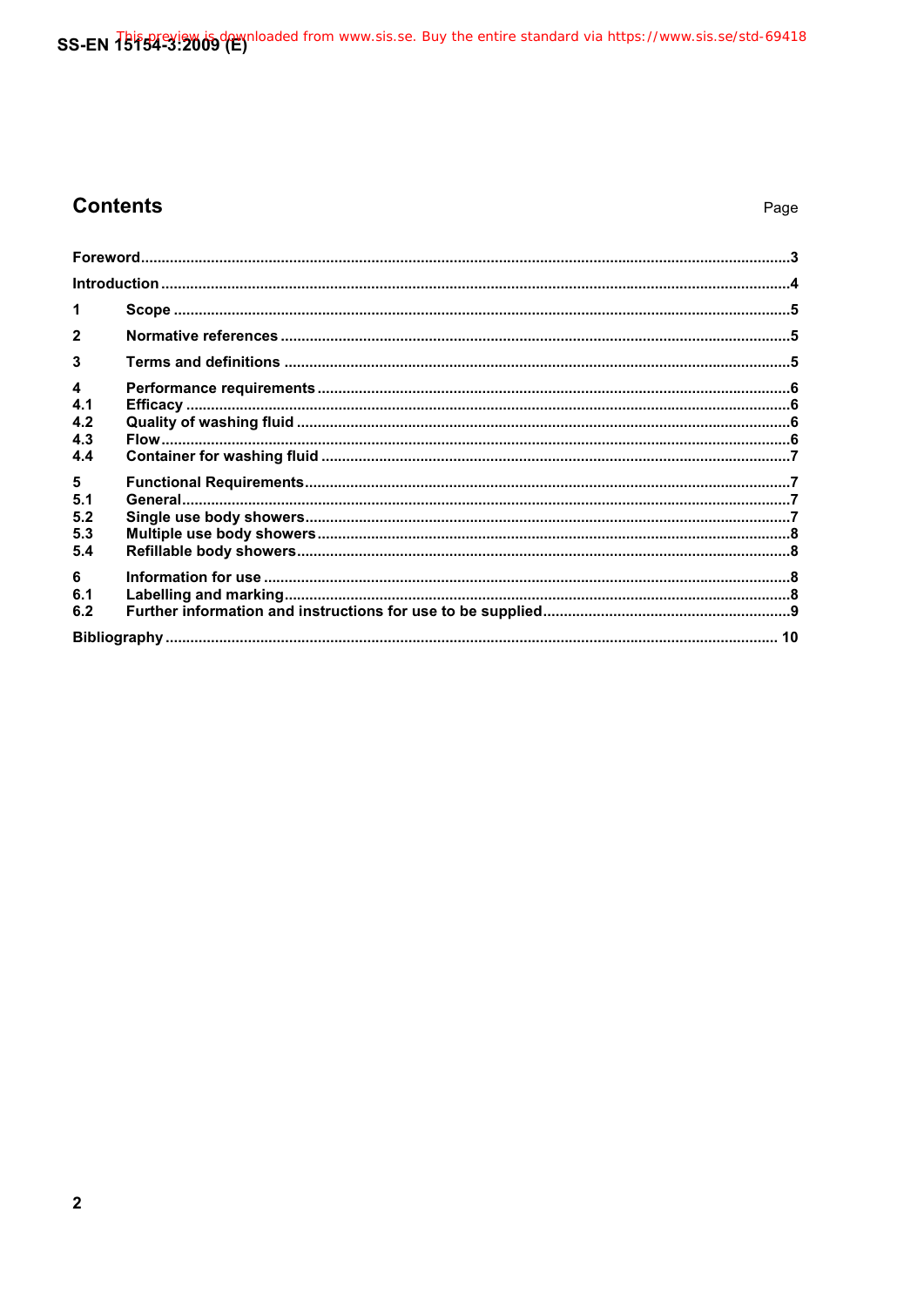SS-EN 15154-3:2009 (E) SS-EN 15154-3:2009 (E)

## **Contents**

| 1                                           |  |  |
|---------------------------------------------|--|--|
| $\overline{2}$                              |  |  |
| 3                                           |  |  |
| $\overline{\mathbf{4}}$                     |  |  |
| 4.1<br>4.2                                  |  |  |
| 4.3<br>4.4                                  |  |  |
| $5\phantom{.0}$<br>5.1<br>5.2<br>5.3<br>5.4 |  |  |
| 6 <sup>1</sup><br>6.1<br>6.2                |  |  |
|                                             |  |  |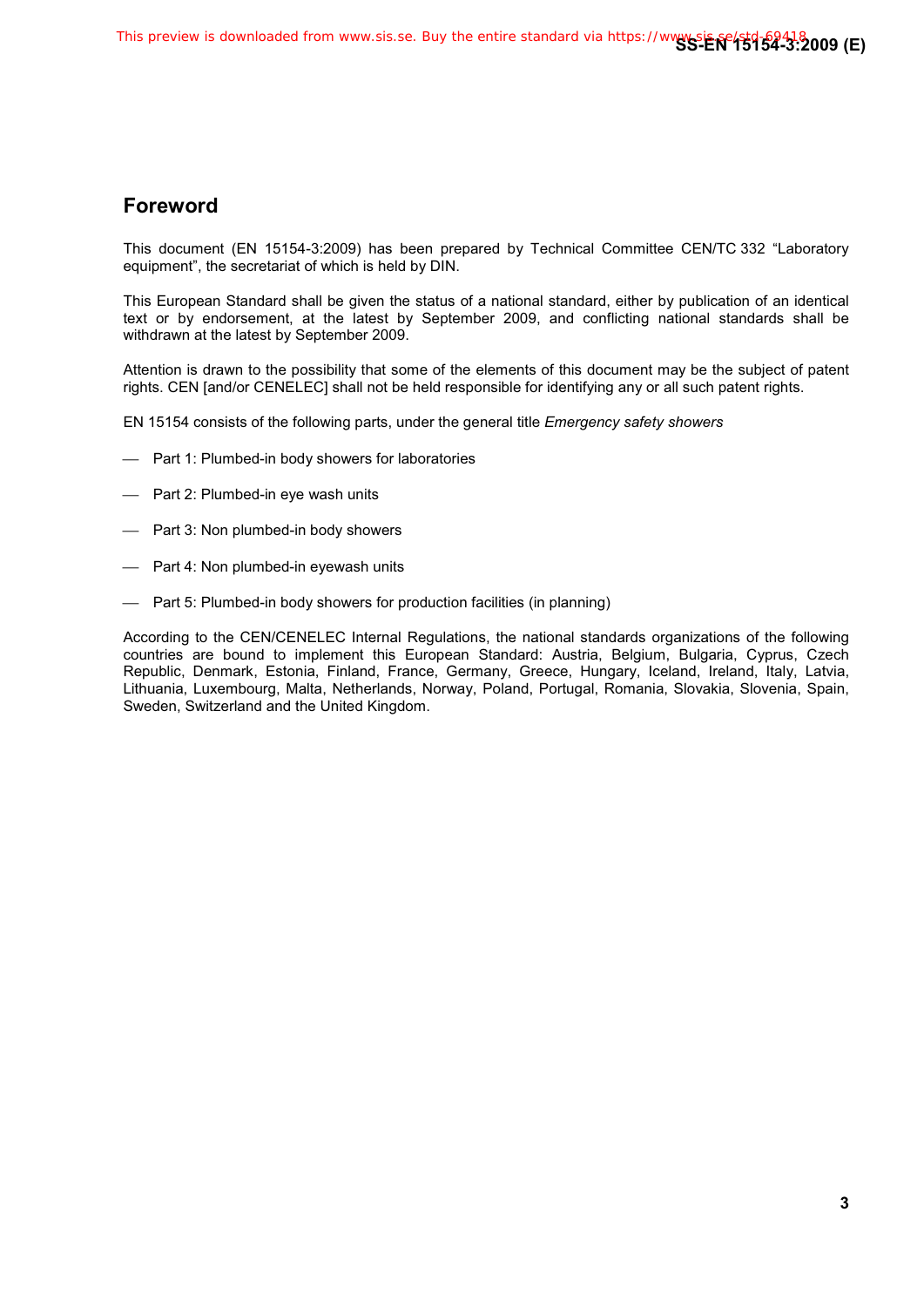**EN 15154-3:2009 (E)** 

## **Foreword**

This document (EN 15154-3:2009) has been prepared by Technical Committee CEN/TC 332 "Laboratory equipment", the secretariat of which is held by DIN.

This European Standard shall be given the status of a national standard, either by publication of an identical text or by endorsement, at the latest by September 2009, and conflicting national standards shall be withdrawn at the latest by September 2009.

Attention is drawn to the possibility that some of the elements of this document may be the subject of patent rights. CEN [and/or CENELEC] shall not be held responsible for identifying any or all such patent rights.

EN 15154 consists of the following parts, under the general title *Emergency safety showers*

- Part 1: Plumbed-in body showers for laboratories
- Part 2: Plumbed-in eye wash units
- Part 3: Non plumbed-in body showers
- Part 4: Non plumbed-in eyewash units
- Part 5: Plumbed-in body showers for production facilities (in planning)

According to the CEN/CENELEC Internal Regulations, the national standards organizations of the following countries are bound to implement this European Standard: Austria, Belgium, Bulgaria, Cyprus, Czech Republic, Denmark, Estonia, Finland, France, Germany, Greece, Hungary, Iceland, Ireland, Italy, Latvia, Lithuania, Luxembourg, Malta, Netherlands, Norway, Poland, Portugal, Romania, Slovakia, Slovenia, Spain, Sweden, Switzerland and the United Kingdom.